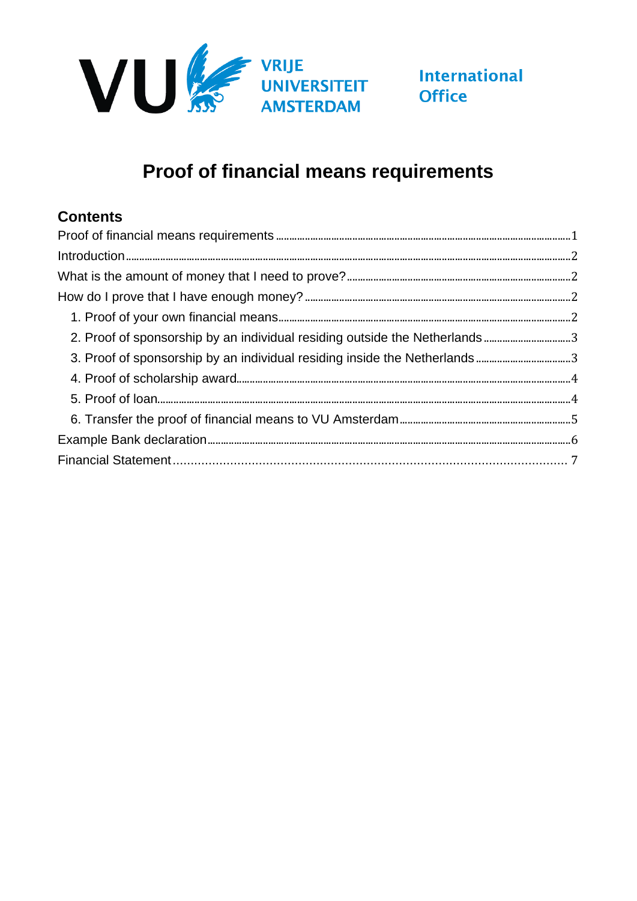

# **Proof of financial means requirements**

# <span id="page-0-0"></span>**Contents**

| 2. Proof of sponsorship by an individual residing outside the Netherlands3 |  |
|----------------------------------------------------------------------------|--|
| 3. Proof of sponsorship by an individual residing inside the Netherlands3  |  |
|                                                                            |  |
|                                                                            |  |
|                                                                            |  |
|                                                                            |  |
|                                                                            |  |
|                                                                            |  |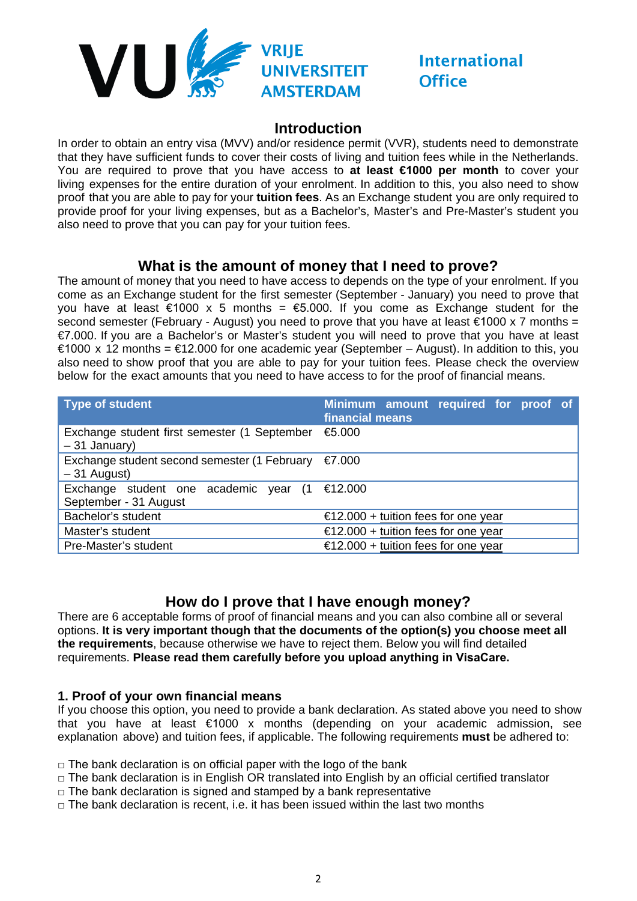

### **Introduction**

<span id="page-1-0"></span>In order to obtain an entry visa (MVV) and/or residence permit (VVR), students need to demonstrate that they have sufficient funds to cover their costs of living and tuition fees while in the Netherlands. You are required to prove that you have access to **at least €1000 per month** to cover your living expenses for the entire duration of your enrolment. In addition to this, you also need to show proof that you are able to pay for your **tuition fees**. As an Exchange student you are only required to provide proof for your living expenses, but as a Bachelor's, Master's and Pre-Master's student you also need to prove that you can pay for your tuition fees.

### **What is the amount of money that I need to prove?**

<span id="page-1-1"></span>The amount of money that you need to have access to depends on the type of your enrolment. If you come as an Exchange student for the first semester (September - January) you need to prove that you have at least €1000 x 5 months =  $€5.000$ . If you come as Exchange student for the second semester (February - August) you need to prove that you have at least  $\epsilon$ 1000 x 7 months = €7.000. If you are a Bachelor's or Master's student you will need to prove that you have at least €1000 x 12 months = €12.000 for one academic year (September – August). In addition to this, you also need to show proof that you are able to pay for your tuition fees. Please check the overview below for the exact amounts that you need to have access to for the proof of financial means.

| <b>Type of student</b>                                                      | Minimum amount required for proof of<br>financial means |
|-----------------------------------------------------------------------------|---------------------------------------------------------|
| Exchange student first semester (1 September<br>$-31$ January)              | €5,000                                                  |
| Exchange student second semester (1 February €7.000<br>$-31$ August)        |                                                         |
| Exchange student one academic year $(1 \in 12.000$<br>September - 31 August |                                                         |
| Bachelor's student                                                          | €12.000 + tuition fees for one year                     |
| Master's student                                                            | €12.000 + tuition fees for one year                     |
| Pre-Master's student                                                        | €12.000 + tuition fees for one year                     |

## **How do I prove that I have enough money?**

<span id="page-1-2"></span>There are 6 acceptable forms of proof of financial means and you can also combine all or several options. **It is very important though that the documents of the option(s) you choose meet all the requirements**, because otherwise we have to reject them. Below you will find detailed requirements. **Please read them carefully before you upload anything in VisaCare.** 

### <span id="page-1-3"></span>**1. Proof of your own financial means**

If you choose this option, you need to provide a bank declaration. As stated above you need to show that you have at least €1000 x months (depending on your academic admission, see explanation above) and tuition fees, if applicable. The following requirements **must** be adhered to:

 $\Box$  The bank declaration is on official paper with the logo of the bank

- □ The bank declaration is in English OR translated into English by an official certified translator
- $\Box$  The bank declaration is signed and stamped by a bank representative
- $\nabla$  The bank declaration is recent, i.e. it has been issued within the last two months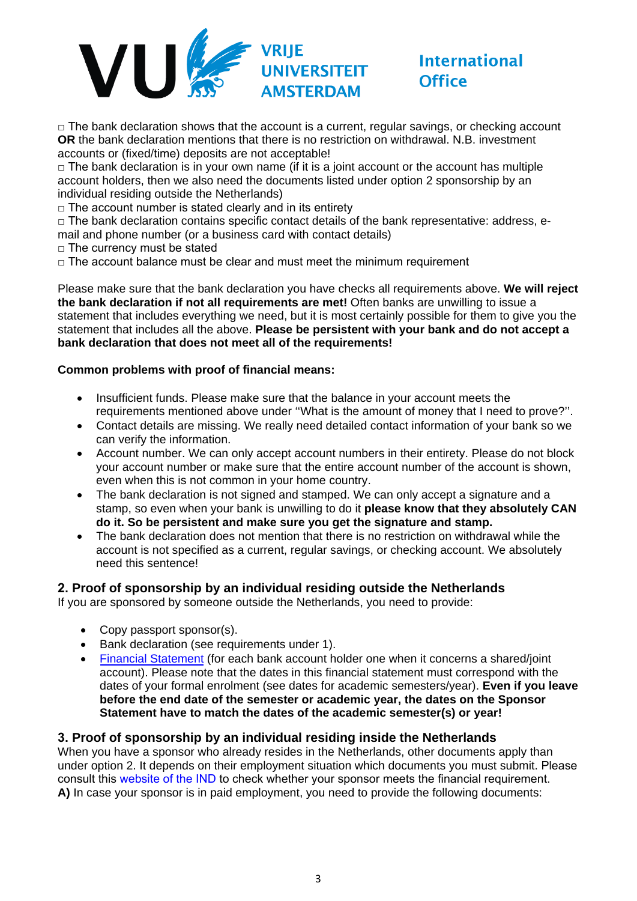

□ The bank declaration shows that the account is a current, regular savings, or checking account **OR** the bank declaration mentions that there is no restriction on withdrawal. N.B. investment accounts or (fixed/time) deposits are not acceptable!

 $\Box$  The bank declaration is in your own name (if it is a joint account or the account has multiple account holders, then we also need the documents listed under option 2 sponsorship by an individual residing outside the Netherlands)

 $\Box$  The account number is stated clearly and in its entirety

□ The bank declaration contains specific contact details of the bank representative: address, email and phone number (or a business card with contact details)

- $\Box$  The currency must be stated
- $\Box$  The account balance must be clear and must meet the minimum requirement

Please make sure that the bank declaration you have checks all requirements above. **We will reject the bank declaration if not all requirements are met!** Often banks are unwilling to issue a statement that includes everything we need, but it is most certainly possible for them to give you the statement that includes all the above. **Please be persistent with your bank and do not accept a bank declaration that does not meet all of the requirements!**

#### **Common problems with proof of financial means:**

- Insufficient funds. Please make sure that the balance in your account meets the requirements mentioned above under ''What is the amount of money that I need to prove?''.
- Contact details are missing. We really need detailed contact information of your bank so we can verify the information.
- Account number. We can only accept account numbers in their entirety. Please do not block your account number or make sure that the entire account number of the account is shown, even when this is not common in your home country.
- The bank declaration is not signed and stamped. We can only accept a signature and a stamp, so even when your bank is unwilling to do it **please know that they absolutely CAN do it. So be persistent and make sure you get the signature and stamp.**
- The bank declaration does not mention that there is no restriction on withdrawal while the account is not specified as a current, regular savings, or checking account. We absolutely need this sentence!

### <span id="page-2-0"></span>**2. Proof of sponsorship by an individual residing outside the Netherlands**

If you are sponsored by someone outside the Netherlands, you need to provide:

- Copy passport sponsor(s).
- Bank declaration (see requirements under 1).
- Financial Statement (for each bank account holder one when it concerns a shared/joint account). Please note that the dates in this financial statement must correspond with the dates of your formal enrolment (see dates for academic semesters/year). **Even if you leave before the end date of the semester or academic year, the dates on the Sponsor Statement have to match the dates of the academic semester(s) or year!**

#### <span id="page-2-1"></span>**3. Proof of sponsorship by an individual residing inside the Netherlands**

When you have a sponsor who already resides in the Netherlands, other documents apply than under option 2. It depends on their employment situation which documents you must submit. Please consult this [website of the IND](https://ind.nl/Paginas/normbedragen-inkomenseis.aspx) to check whether your sponsor meets the financial requirement. **A)** In case your sponsor is in paid employment, you need to provide the following documents: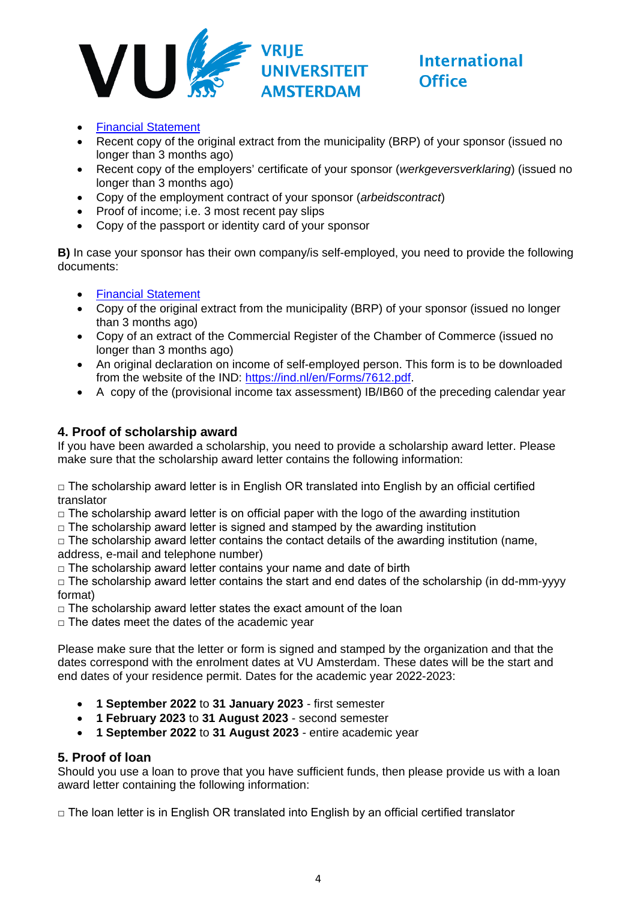

- Financial Statement
- Recent copy of the original extract from the municipality (BRP) of your sponsor (issued no longer than 3 months ago)
- Recent copy of the employers' certificate of your sponsor (*werkgeversverklaring*) (issued no longer than 3 months ago)
- Copy of the employment contract of your sponsor (*arbeidscontract*)
- Proof of income; i.e. 3 most recent pay slips
- Copy of the passport or identity card of your sponsor

**B)** In case your sponsor has their own company/is self-employed, you need to provide the following documents:

- Financial Statement
- Copy of the original extract from the municipality (BRP) of your sponsor (issued no longer than 3 months ago)
- Copy of an extract of the Commercial Register of the Chamber of Commerce (issued no longer than 3 months ago)
- An original declaration on income of self-employed person. This form is to be downloaded from the website of the IND: [https://ind.nl/en/Forms/7612.pdf.](https://ind.nl/en/Forms/7612.pdf)
- A copy of the (provisional income tax assessment) IB/IB60 of the preceding calendar year

### <span id="page-3-0"></span>**4. Proof of scholarship award**

If you have been awarded a scholarship, you need to provide a scholarship award letter. Please make sure that the scholarship award letter contains the following information:

 $\Box$  The scholarship award letter is in English OR translated into English by an official certified translator

 $\Box$  The scholarship award letter is on official paper with the logo of the awarding institution

 $\Box$  The scholarship award letter is signed and stamped by the awarding institution

 $\Box$  The scholarship award letter contains the contact details of the awarding institution (name, address, e-mail and telephone number)

 $\Box$  The scholarship award letter contains your name and date of birth

 $\Box$  The scholarship award letter contains the start and end dates of the scholarship (in dd-mm-yyyy format)

 $\Box$  The scholarship award letter states the exact amount of the loan

 $\Box$  The dates meet the dates of the academic vear

Please make sure that the letter or form is signed and stamped by the organization and that the dates correspond with the enrolment dates at VU Amsterdam. These dates will be the start and end dates of your residence permit. Dates for the academic year 2022-2023:

- **1 September 2022** to **31 January 2023** first semester
- **1 February 2023** to **31 August 2023** second semester
- **1 September 2022** to **31 August 2023** entire academic year

### <span id="page-3-1"></span>**5. Proof of loan**

Should you use a loan to prove that you have sufficient funds, then please provide us with a loan award letter containing the following information:

 $\Box$  The loan letter is in English OR translated into English by an official certified translator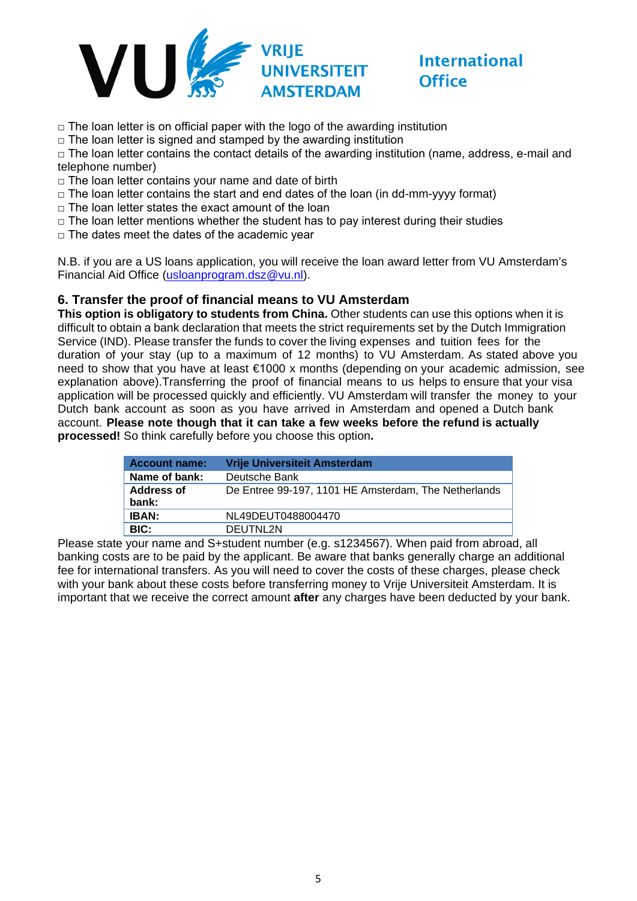

 $\Box$  The loan letter is on official paper with the logo of the awarding institution

 $\Box$  The loan letter is signed and stamped by the awarding institution

 $\Box$  The loan letter contains the contact details of the awarding institution (name, address, e-mail and telephone number)

- $\Box$  The loan letter contains your name and date of birth
- $\Box$  The loan letter contains the start and end dates of the loan (in dd-mm-yyyy format)
- $\Box$  The loan letter states the exact amount of the loan
- $\Box$  The loan letter mentions whether the student has to pay interest during their studies
- $\Box$  The dates meet the dates of the academic vear

N.B. if you are a US loans application, you will receive the loan award letter from VU Amsterdam's Financial Aid Office [\(usloanprogram.dsz@vu.nl\)](mailto:usloanprogram.dsz@vu.nl).

#### <span id="page-4-0"></span>**6. Transfer the proof of financial means to VU Amsterdam**

**This option is obligatory to students from China.** Other students can use this options when it is difficult to obtain a bank declaration that meets the strict requirements set by the Dutch Immigration Service (IND). Please transfer the funds to cover the living expenses and tuition fees for the duration of your stay (up to a maximum of 12 months) to VU Amsterdam. As stated above you need to show that you have at least €1000 x months (depending on your academic admission, see explanation above).Transferring the proof of financial means to us helps to ensure that your visa application will be processed quickly and efficiently. VU Amsterdam will transfer the money to your Dutch bank account as soon as you have arrived in Amsterdam and opened a Dutch bank account. **Please note though that it can take a few weeks before the refund is actually processed!** So think carefully before you choose this option**.**

| <b>Account name:</b> | <b>Vrije Universiteit Amsterdam</b>                                                                         |  |
|----------------------|-------------------------------------------------------------------------------------------------------------|--|
| Name of bank:        | Deutsche Bank                                                                                               |  |
| <b>Address of</b>    | De Entree 99-197, 1101 HE Amsterdam, The Netherlands                                                        |  |
| bank:                |                                                                                                             |  |
| <b>IBAN:</b>         | NL49DEUT0488004470                                                                                          |  |
| BIC:                 | DEUTNL2N                                                                                                    |  |
|                      | $\overline{\phantom{a}}$<br>$\cdot$ $\sim$ $\cdot$ $\sim$ $\sim$ $\sim$ $\cdot$ $\cdot$ $\sim$ $\cdot$<br>. |  |

Please state your name and S+student number (e.g. s1234567). When paid from abroad, all banking costs are to be paid by the applicant. Be aware that banks generally charge an additional fee for international transfers. As you will need to cover the costs of these charges, please check with your bank about these costs before transferring money to Vrije Universiteit Amsterdam. It is important that we receive the correct amount **after** any charges have been deducted by your bank.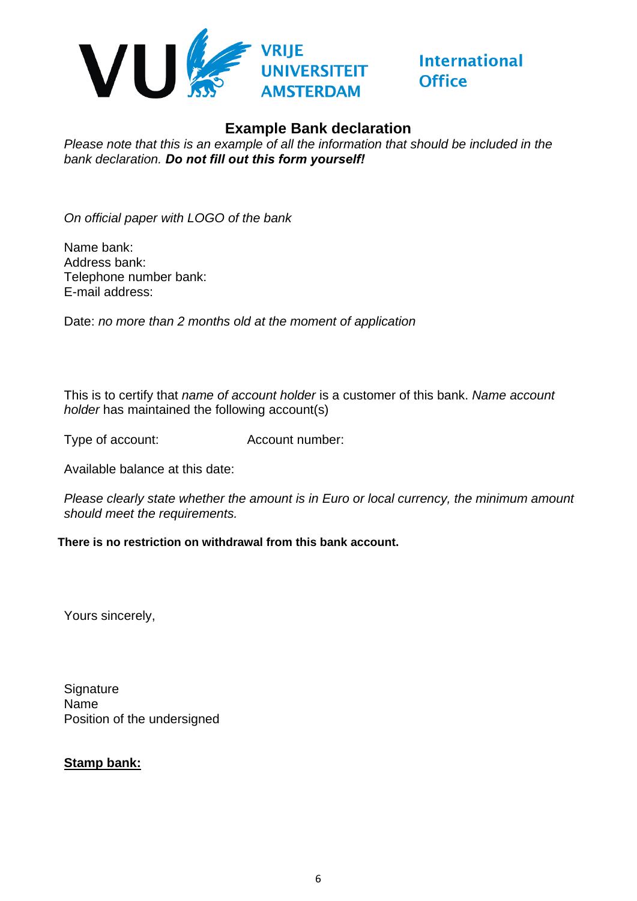

## **Example Bank declaration**

<span id="page-5-0"></span>*Please note that this is an example of all the information that should be included in the bank declaration. Do not fill out this form yourself!*

*On official paper with LOGO of the bank*

Name bank: Address bank: Telephone number bank: E-mail address:

Date: *no more than 2 months old at the moment of application*

This is to certify that *name of account holder* is a customer of this bank. *Name account holder* has maintained the following account(s)

Type of account: Account number:

Available balance at this date:

*Please clearly state whether the amount is in Euro or local currency, the minimum amount should meet the requirements.*

#### **There is no restriction on withdrawal from this bank account.**

Yours sincerely,

**Signature** Name Position of the undersigned

### **Stamp bank:**